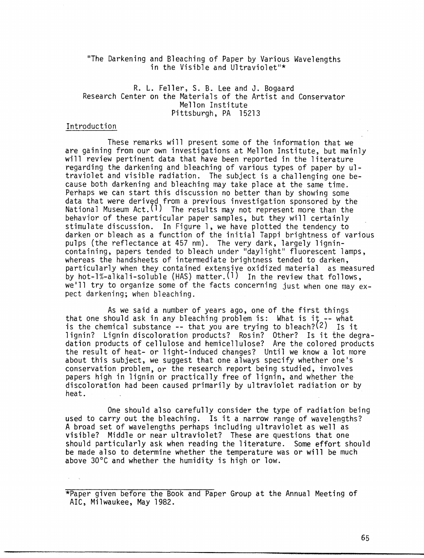"The Darkening and Bleaching of Paper by Various Wavelengths in the Visible and Ultraviolet"\*

# R. L. Feller, S. B. Lee and J. Bogaard Research Center on the Materials of the Artist and Conservator Mellon Institute Pittsburgh, PA 15213

#### Introduction

These remarks will present some of the information that we are gaining from our own investigations at Mellon Institute, but mainly will review pertinent data that have been reported in the literature regarding the darkening and bleaching of various types of paper by ultraviolet and visible radiation. The subject is a challenging one because both darkening and bleaching may take place at the same time. Perhaps we can start this discussion no better than by showing some data that were derived from a previous investigation sponsored by the National Museum  $Act.(1)$  The results may not represent more than the behavior of these particular paper samples, but they will certainly stimulate discussion. In Figure l, we have plotted the tendency to darken or bleach as a function of the initial Tappi brightness of various pulps (the reflectance at 457 nm). The very dark, largely lignin-<br>containing, papers tended to bleach under "daylight" fluorescent lamps, whereas the handsheets of intermediate brightness tended to darken, particularly when they contained extensive oxidized material as measured by hot-1%-alkali-soluble (HAS) matter. $(1)$  In the review that follows, we'll try to organize some of the facts concerning just when one may expect darkening; when bleaching.

As we said a number of years ago, one of the first things that one should ask in any bleaching problem is: What is it -- what is the chemical substance  $-$ - that you are trying to bleach? $(2)$  Is it lignin? Lignin discoloration products? Rosin? Other? Is it the degradation products of cellulose and hemicellulose? Are the colored products the result of heat- or light-induced changes? Until we know a lot more about this subject, we suggest that one always specify whether one's conservation problem, or the research report being studied, involves papers high in lignin or practically free of lignin, and whether the discoloration had been caused primarily by ultraviolet radiation or by heat.

One should also carefully consider the type of radiation being used to carry out the bleaching. Is it a narrow range of wavelengths? A broad set of wavelengths perhaps including ultraviolet as well as visible? Middle or near ultraviolet? These are questions that one should particularly ask when reading the literature. Some effort should be made also to determine whether the temperature was or will be much above 3O°C and whether the humidity is high or low.

<sup>\*</sup>Paper given before the Book and Paper Group at the Annual Meeting of AIC, Milwaukee, May 1982.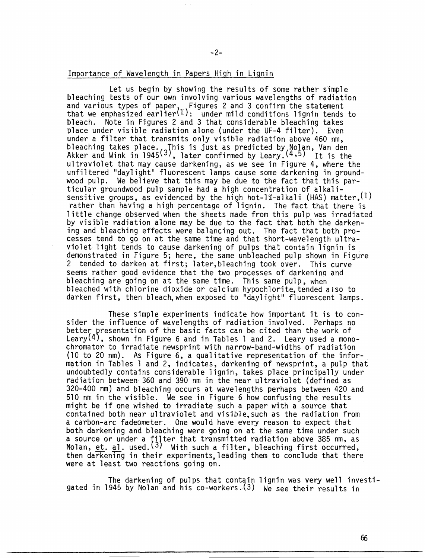### Importance of Wavelength in Papers High in Lignin

Let us begin by showing the results of some rather simple bleaching tests of our own involving various wavelengths of radiation and various types of paper, . Figures 2 and 3 confirm the statement that we emphasized earlier{l): under mild conditions lignin tends to bleach. Note in Figures 2 and 3 that considerable bleaching takes place under visible radiation alone (under the UF-4 filter). Even under a filter that transmits only visible radiation above 460 nm, bleaching takes place. $\sqrt{2}$ This is just as predicted by  $N$ olan, Van den Akker and Wink in 1945 *3),* later confirmed by Leary. 4,5) It is the ultraviolet that may cause darkening, as we see in Figure 4, where the unfiltered "daylight" fluorescent lamps cause some darkening in groundwood pulp. We believe that this may be due to the fact that this particular groundwood pulp sample had a high concentration of alkalisensitive groups, as evidenced by the high hot-1%-alkali (HAS) matter,  $(1)$ rather than having a high percentage of lignin. The fact that there is little change observed when the sheets made from this pulp was irradiated by visible radiation alone may be due to the fact that both the darkening and bleaching effects were balancing out. The fact that both processes tend to go on at the same time and that short-wavelength ultraviolet light tends to cause darkening of pulps that contain lignin is demonstrated in Figure 5; here, the same unbleached pulp shown in Figure 2 tended to darken at first; later,bleaching took over. This curve seems rather good evidence that the two processes of darkeninq and bleaching are going on at the same time. This same pulp, when bleached with chlorine dioxide or calcium hypochlorite,tended also to darken first, then bleach, when exposed to "daylight" fluorescent lamps.

These simple experiments indicate how important it is to consider the influence of wavelengths of radiation involved. Perhaps no better presentation of the basic facts can be cited than the work of Leary(4), shown in Figure 6 and in Tables 1 and 2. Leary used a monochromator to irradiate newsprint with narrow-band-widths of radiation (10 to 20 nm). As Figure 6, a qualitative representation of the information in Tables 1 and 2, indicates, darkening of newsprint, a pulp that undoubtedly contains considerable lignin, takes place principally under radiation between 360 and 390 nm in the near ultraviolet (defined as 320-400 nm) and bleaching occurs at wavelengths perhaps between 420 and 510 nm in the visible. We see in Figure 6 how confusing the results might be if one wished to irradiate such a paper with a source that contained both near ultraviolet and visible,such as the radiation from a carbon-arc fadeometer. One would have every reason to expect that both darkening and bleaching were going on at the same time under such a source or under a filter that transmitted radiation above 385 nm, as Nolan, <u>et</u>. <u>al</u>. used.<sup>(3)</sup> With such a filter, bleaching first occurred, then darkening in their experiments, leading them to conclude that there were at least two reactions going on.

The darkening of pulps that contain lignin was very well investigated in 1945 by Nolan and his co-workers.  $(3)$  We see their results in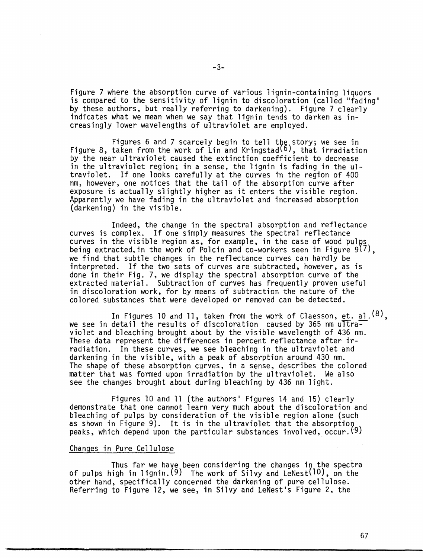Figure 7 where the absorption curve of various lignin-containing liquors is compared to the sensitivity of lignin to discoloration (called "fading" by these authors, but really referring to darkening). Figure 7 clearly indicates what we mean when we say that lignin tends to darken as increasingly lower wavelengths of ultraviolet are employed.

Figures 6 and 7 scarcely begin to tell the story; we see in Figure 8, taken from the work of Lin and Kringstad $\left(6\right),$  that irradiatic by the near ultraviolet caused the extinction coefficient to decrease in the ultraviolet region; in a sense, the lignin is fading in the ultraviolet. If one looks carefully at the curves in the region of 400 nm, however, one notices that the tail of the absorption curve after exposure is actually slightly higher as it enters the visible region. Apparently we have fading in the ultraviolet and increased absorption (darkening) in the visible.

Indeed, the change in the spectral absorption and reflectance curves is complex. If one simply measures the spectral reflectance curves in the visible region as, for example, in the case of wood pulps being extracted, in the work of Polcin and co-workers seen in Figure 9(7), we find that subtle changes in the reflectance curves can hardly be interpreted. If the two sets of curves are subtracted, however, as is done in their Fig. 7, we display the spectral absorption curve of the extracted material. Subtraction of curves has frequently proven useful in discoloration work, for by means of subtraction the nature of the colored substances that were developed or removed can be detected.

In Figures 10 and 11, taken from the work of Claesson, <u>et</u>. <u>al</u>.<sup>(8)</sup>, we see in detail the results of discoloration  $caused$  by 365 nm ultra $\overline{-}$ violet and bleaching brought about by the visible wavelength of 436 nm. These data represent the differences in percent reflectance after irradiation. In these curves, we see bleaching in the ultraviolet and darkening in the visible, with a peak of absorption around 430 nm. The shape of these absorption curves, in a sense, describes the colored matter that was formed upon irradiation by the ultraviolet. We also see the changes brought about during bleaching by 436 nm light.

Figures 10 and 11 (the authors' Figures 14 and 15) clearly demonstrate that one cannot learn very much about the discoloration and bleaching of pulps by consideration of the visible region alone (such as shown in Figure 9). It is in the ultraviolet that the absorption peaks, which depend upon the particular substances involved, occur.<sup>(9)</sup>

## Changes in Pure Cellulose

Thus far we haye been considering the changes in the spectra of pulps high in lignin.(9) The work of Silvy and LeNest(l0), on the other hand, specifically concerned the darkening of pure cellulose. Referring to Figure 12, we see, in Silvy and LeNest's Figure 2, the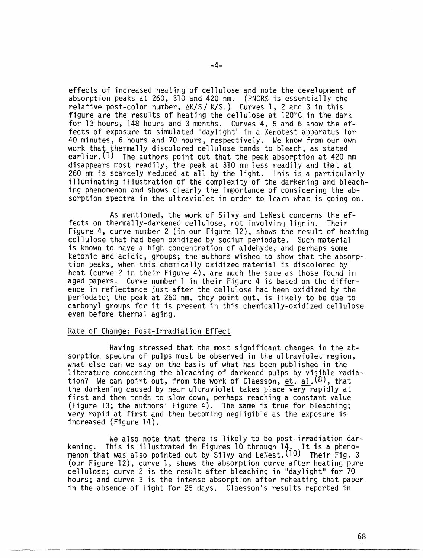effects of increased heating of cellulose and note the development of absorption peaks at 260, 310 and 420 nm. (PNCR% is essentially the relative post-color number,  $\Delta K/S/K/S.$ ) Curves 1, 2 and 3 in this figure are the results of heating the cellulose at 120°C in the dark for 13 hours, 148 hours and 3 months. Curves 4, 5 and 6 show the effects of exposure to simulated "daylight" in a Xenotest apparatus for 40 minutes, 6 hours and 70 hours, respectively. We know from our own work that thermally discolored cellulose tends to bleach, as stated earlier.<sup>(1)</sup> The authors point out that the peak absorption at 420 nm disappears most readily, the peak at 310 nm less readily and that at 260 nm is scarcely reduced at all by the light. This is a particularly illuminating illustration of the complexity of the darkening and bleaching phenomenon and shows clearly the importance of considering the absorption spectra in the ultraviolet in order to learn what is going on.

As mentioned, the work of Silvy and LeNest concerns the effects on thermally-darkened cellulose, not involving lignin. Their Figure 4, curve number 2 (in our Figure 12), shows the result of heating cellulose that had been oxidized by sodium periodate. Such material is known to have a high concentration of aldehyde, and perhaps some ketonic and acidic, groups; the authors wished to show that the absorp- tion peaks, when this chemically oxidized material is discolored by heat (curve 2 in their Figure 4), are much the same as those found in aged papers. Curve number 1 in their Figure 4 is based on the difference in reflectance just after the cellulose had been oxidized by the periodate; the peak at 260 nm, they point out, is likely to be due to carbonyl groups for it is present in this chemically-oxidized cellulose even before thermal aging.

#### Rate of Change; Post-Irradiation Effect

Having stressed that the most significant changes in the absorption spectra of pulps must be observed in the ultraviolet region, what else can we say on the basis of what has been published in the literature concerning the bleaching of darkened pulps by visible radiation? We can point out, from the work of Claesson, et. al.  $(8)$ , that the darkening caused by near ultraviolet takes place very rapidly at first and then tends to slow down, perhaps reaching a constant value (Figure 13; the authors' Figure 4). The same is true for bleaching; very rapid at first and then becoming negligible as the exposure is increased (Figure 14).

We also note that there is likely to be post-irradiation darkening. This is illustrated in Figures 10 through  $14.$  It is a phenomenon that was also pointed out by Silvy and LeNest.(10) Their Fig. 3 (our Figure 12), curve 1, shows the absorption curve after heating pure cellulose; curve 2 is the result after bleaching in "daylight" for  $70$ hours; and curve 3 is the intense absorption after reheating that paper in the absence of light for 25 days. Claesson's results reported in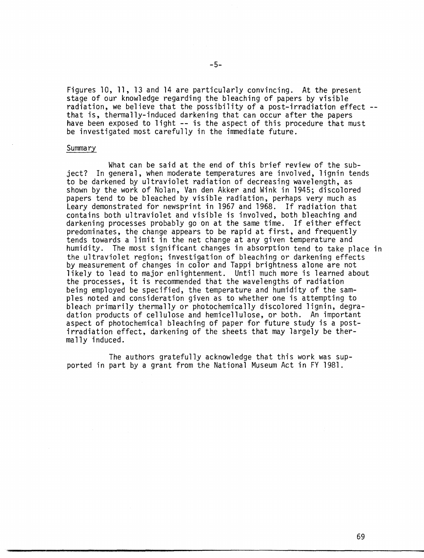Figures 10, 11, 13 and 14 are particularly convincing. At the present stage of our knowledge regarding the bleaching of papers by visible radiation, we believe that the possibility of a post-irradiation effect -that is, thermally-induced darkening that can occur after the papers have been exposed to light -- is the aspect of this procedure that must be investigated most carefully in the immediate future.

#### Summary

What can be said at the end of this brief review of the subject? In general, when moderate temperatures are involved, lignin tends to be darkened by ultraviolet radiation of decreasing wavelength, as shown by the work of Nolan, Van den Akker and Wink in 1945; discolored papers tend to be bleached by visible radiation, perhaps very much as Leary demonstrated for newsprint in 1967 and 1968. If radiation that contains both ultraviolet and visible is involved, both bleaching and darkening processes probably go on at the same time. If either effect predominates, the change appears to be rapid at first, and frequently tends towards a limit in the net change at any given temperature and humidity. The most significant changes in absorption tend to take place in the ultraviolet region; investigation of bleaching or darkening effects by measurement of changes in color and Tappi brightness alone are not likely to lead to major enlightenment. Until much more is learned about the processes, it is recommended that the wavelengths of radiation being employed be specified, the temperature and humidity of the samples noted and consideration given as to whether one is attempting to bleach primarily thermally or photochemically discolored lignin, degradation products of cellulose and hemicellulose, or both. An important aspect of photochemical bleaching of paper for future study is a postirradiation effect, darkening of the sheets that may largely be thermally induced.

The authors gratefully acknowledge that this work was supported in part by a grant from the National Museum Act in FY 1981.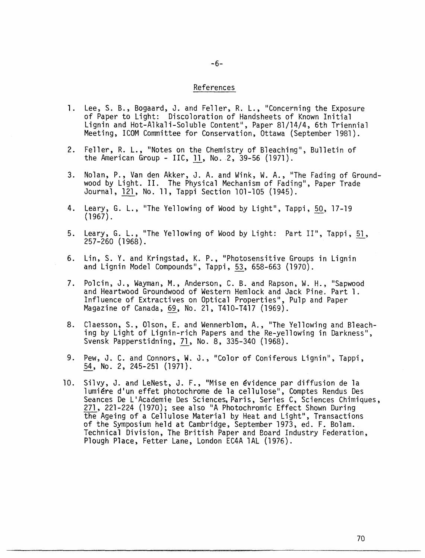## References

- 1. Lee, S. B., Bogaard, J. and Feller, R. L., "Concerning the Exposure of Paper to Light: Discoloration of Handsheets of Known Initial Lignin and Hot-Alkali-Soluble Content", Paper 81/14/4, 6th Triennial Meeting, ICOM Connnittee for Conservation, Ottawa (September 1981).
- 2. Feller, R. L., "Notes on the Chemistry of Bleaching", Bulletin of the American Group - IIC, 11, No. 2, 39-56 (1971).
- 3. Nolan, P., Van den Akker, J. A. and Wink, W. A., "The Fading of Groundwood by Light. II. The Physical Mechanism of Fading", Paper Trade Journal, 121, No. 11, Tappi Section 101-105 (1945).
- 4. Leary, G. L., "The Yellowing of Wood by Light", Tappi, 50, 17-19 (1967).
- 5. Leary, G. L., "The Yellowing of Wood by Light: Part II", Tappi, 51, 257-260 (1968).
- 6. Lin, S. Y. and Kringstad, K. P., 11Photosensitive Groups in Lignin and Lignin Model Compounds", Tappi, 53, 658-663 (1970).
- 7. Polcin, J., Wayman, M., Anderson, C. B. and Rapson, W. H., "Sapwood and Heartwood Groundwood of Western Hemlock and Jack Pine. Part l. Influence of Extractives on Optical Properties", Pulp and Paper Magazine of Canada, 69, No. 21, T410-T417 (1969).
- 8. Claesson, S., Olson, E. and Wennerblom, A., "The Yellowing and Bleaching by Light of Lignin-rich Papers and the Re-yellowing in Darkness", Svensk Papperstidning, 71, No. 8, 335-340 (1968).
- 9. Pew, J. C. and Connors, W. J., "Color of Coniferous Lignin", Tappi, 54, No. 2, 245-251 (1971).
- 10. Silvy, J. and LeNest, J. F., "Mise en evidence par diffusion de la lumiére d'un effet photochrome de la cellulose", Comptes Rendus Des Seances De L'Academie Des Sciences, Paris, Series C, Sciences Chimiques, 271, 221-224 (1970); see also "A Photochromic Effect Shown During the Ageing of a Cellulose Material by Heat and Light", Transactions of the Symposium held at Cambridge, September 1973, ed. F. Bolam. Technical Division, The British Paper and Board Industry Federation, Plough Place, Fetter Lane, London EC4A lAL (1976).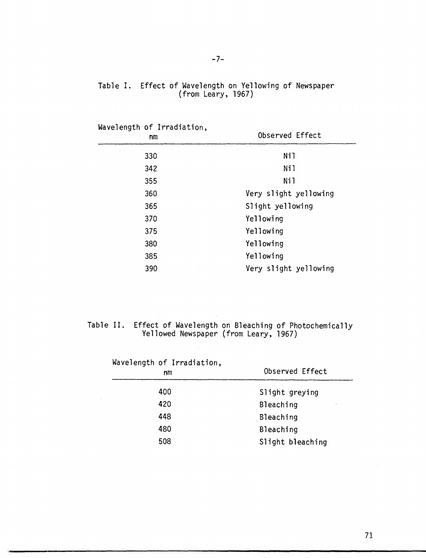|  |  | Table I. Effect of Wavelength on Yellowing of Newspaper |  |  |
|--|--|---------------------------------------------------------|--|--|
|  |  | $(from$ Leary, 1967)                                    |  |  |

| Wavelength of Irradiation,<br>nm | Observed Effect       |
|----------------------------------|-----------------------|
| 330                              | Nil                   |
| 342                              | Nil                   |
| 355                              | Ni1                   |
| 360                              | Very slight yellowing |
| 365                              | Slight yellowing      |
| 370                              | Yellowing             |
| 375                              | Yellowing             |
| 380                              | Yellowing             |
| 385                              | Yellowing             |
| 390                              | Very slight yellowing |

Table II. Effect of Wavelength on Bleaching of Photochemically Yellowed Newspaper (from Leary, 1967)

 $\sim$ 

| Wavelength of Irradiation,<br>nm | Observed Effect  |
|----------------------------------|------------------|
| 400                              | Slight greying   |
| 420                              | Bleaching        |
| 448                              | Bleaching        |
| 480                              | Bleaching        |
| 508                              | Slight bleaching |

 $\sim$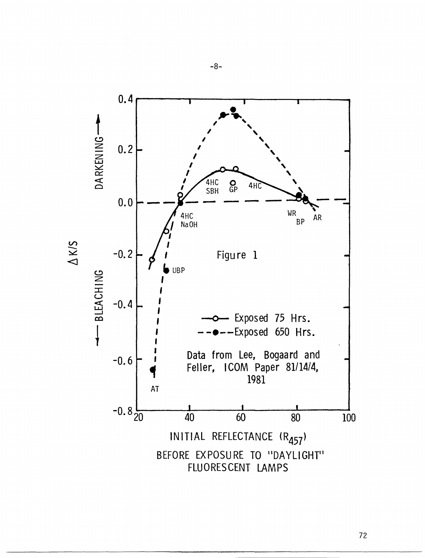

 $-8-$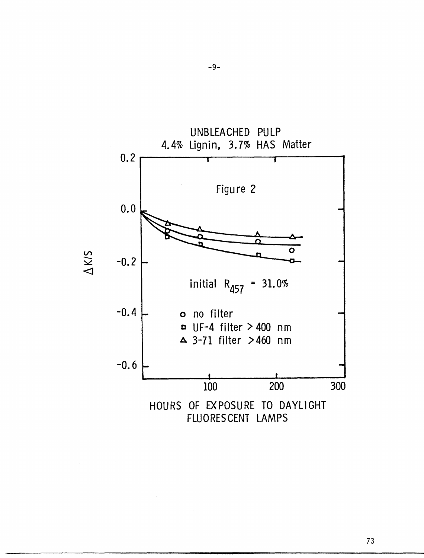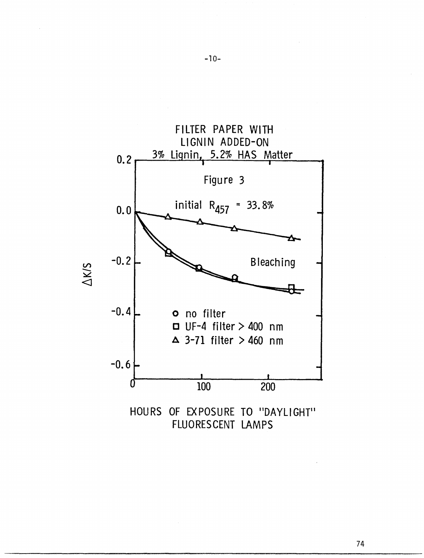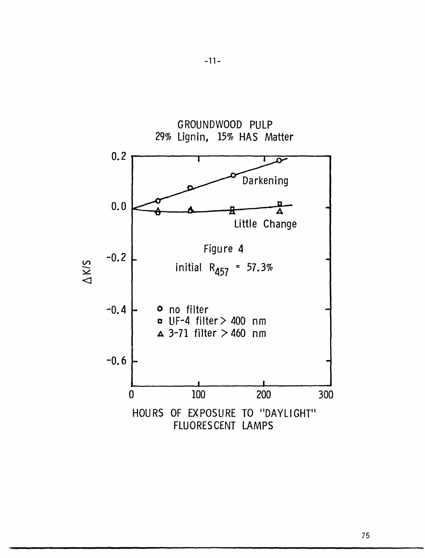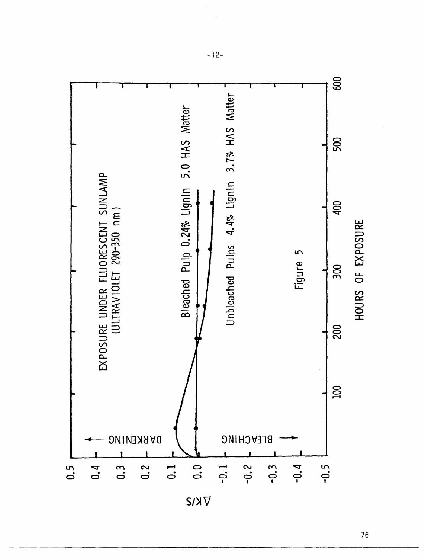

 $-12-$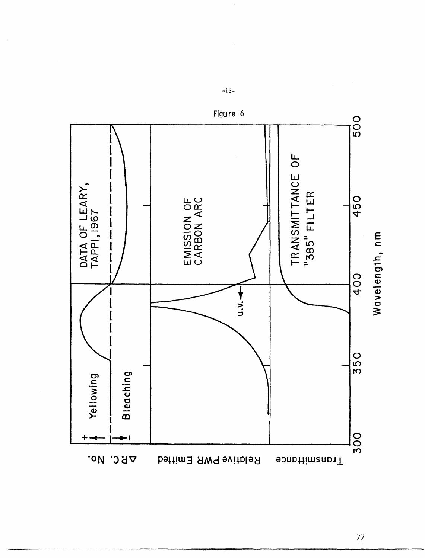

 $-13-$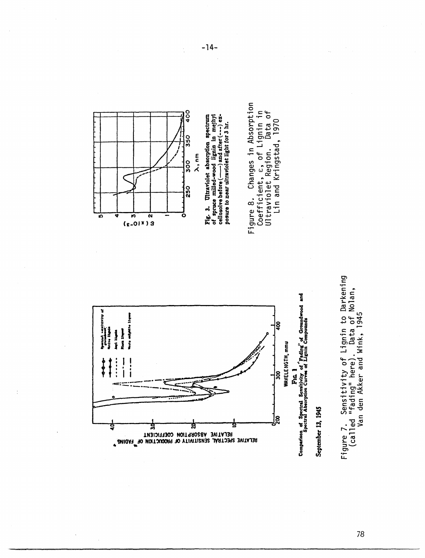





Fig. 3. Ultraviolet absorption spectrum<br>of spruce milled-wood lignin in methyl<br>cellosoive before  $(--)$  and after  $(--)$  ex-<br>posure to near ultraviolet light for 3 hr.

Changes in Absorption Coefficient, c, of Lignin in<br>Ultraviolet Region. Data of Lin and Kringstad, 1970 Ultraviolet Region. Figure 8.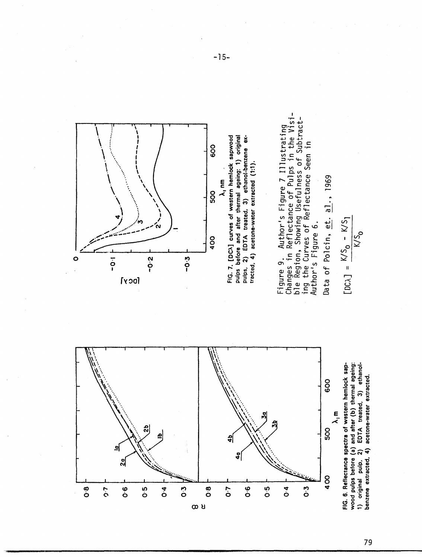





pulps before and after thermal ageing: 1) original pulps, 2) EDTA treated, 3) ethanol-benzene ex-<br>tracted, 4) acetone-water extracted (1:1). Figure 9. Author's Figure 7 Illustrating<br>Changes in Reflectance of Pulps in the Visible Region, Showing Usefulness of Subtracting the Curves of Reflectance Seen in Author's Figure 6.

Data of Polcin, et. al., 1969

$$
[DC\lambda] = \frac{K/S_0 - K/S_1}{K/S_0}
$$

 $-15-$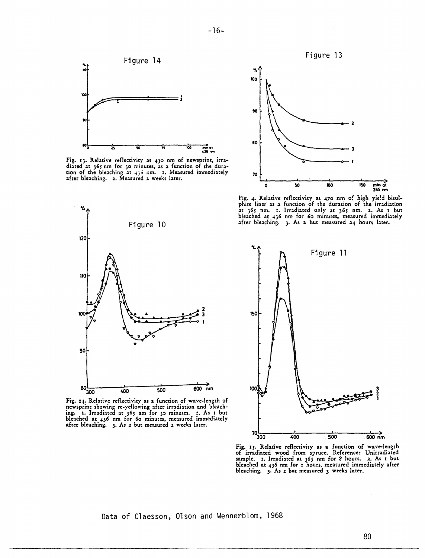

Fig. 13. Relative reflectivity at 430 nm of newsprint, irra-<br>diated at 365 nm for 30 minutes, as a function of the duration of the bleaching at 436 nm. 1. Measured immediately after bleaching. 2. Measured 2 weeks later.



Fig. 14. Relative reflectivity as a function of wave-length of newsprint showing re-yellowing after irradiation and bleaching. 1. Irradiated at  $365$  nm for 30 minutes. 2. As 1 but bleached at  $436$  nm for 60 minutes, mea



Fig. 4. Relative reflectivity at 470 nm of high yield bisulphite liner as a function of the duration of the irradiation at 365 nm. 2. As I but bleached at 436 nm for 60 minutes, measured immediately after bleaching. 3. As 2 but measured 24 hours later.



Fig. 15. Relative reflectivity as a function of wave-length<br>of irradiated wood from spruce. Reference: Unirradiated<br>sample. 1. Irradiated at  $365$  nm for 8 hours. 2. As 1 but<br>bleached at  $436$  nm for 2 hours, measured imm